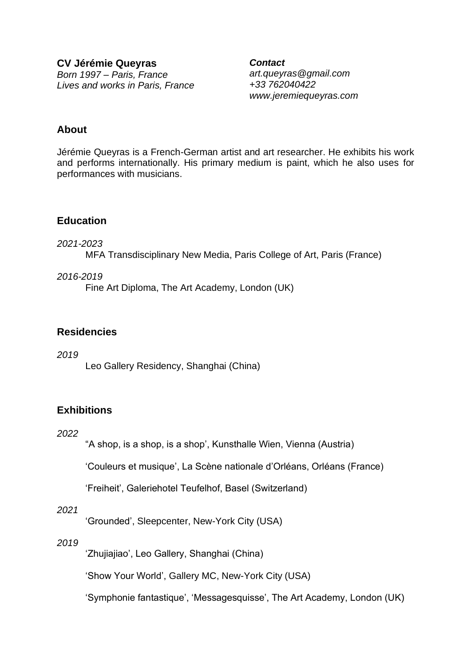**CV Jérémie Queyras**  *Born 1997 – Paris, France Lives and works in Paris, France*

*Contact art.queyras@gmail.com +33 762040422 www.jeremiequeyras.com*

### **About**

Jérémie Queyras is a French-German artist and art researcher. He exhibits his work and performs internationally. His primary medium is paint, which he also uses for performances with musicians.

### **Education**

### *2021-2023*

MFA Transdisciplinary New Media, Paris College of Art, Paris (France)

#### *2016-2019*

Fine Art Diploma, The Art Academy, London (UK)

## **Residencies**

*2019*  Leo Gallery Residency, Shanghai (China)

# **Exhibitions**

#### *2022*

"A shop, is a shop, is a shop', Kunsthalle Wien, Vienna (Austria)

'Couleurs et musique', La Scène nationale d'Orléans, Orléans (France)

'Freiheit', Galeriehotel Teufelhof, Basel (Switzerland)

### *2021*

'Grounded', Sleepcenter, New-York City (USA)

### *2019*

'Zhujiajiao', Leo Gallery, Shanghai (China)

'Show Your World', Gallery MC, New-York City (USA)

'Symphonie fantastique', 'Messagesquisse', The Art Academy, London (UK)